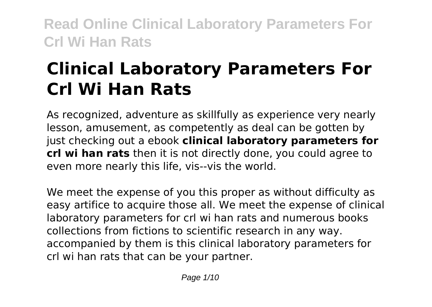# **Clinical Laboratory Parameters For Crl Wi Han Rats**

As recognized, adventure as skillfully as experience very nearly lesson, amusement, as competently as deal can be gotten by just checking out a ebook **clinical laboratory parameters for crl wi han rats** then it is not directly done, you could agree to even more nearly this life, vis--vis the world.

We meet the expense of you this proper as without difficulty as easy artifice to acquire those all. We meet the expense of clinical laboratory parameters for crl wi han rats and numerous books collections from fictions to scientific research in any way. accompanied by them is this clinical laboratory parameters for crl wi han rats that can be your partner.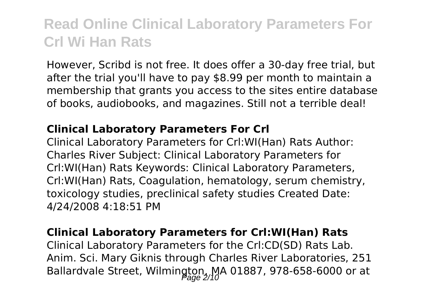However, Scribd is not free. It does offer a 30-day free trial, but after the trial you'll have to pay \$8.99 per month to maintain a membership that grants you access to the sites entire database of books, audiobooks, and magazines. Still not a terrible deal!

#### **Clinical Laboratory Parameters For Crl**

Clinical Laboratory Parameters for Crl:WI(Han) Rats Author: Charles River Subject: Clinical Laboratory Parameters for Crl:WI(Han) Rats Keywords: Clinical Laboratory Parameters, Crl:WI(Han) Rats, Coagulation, hematology, serum chemistry, toxicology studies, preclinical safety studies Created Date: 4/24/2008 4:18:51 PM

#### **Clinical Laboratory Parameters for Crl:WI(Han) Rats**

Clinical Laboratory Parameters for the Crl:CD(SD) Rats Lab. Anim. Sci. Mary Giknis through Charles River Laboratories, 251 Ballardvale Street, Wilmington, MA 01887, 978-658-6000 or at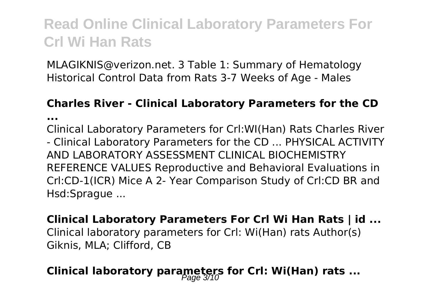MLAGIKNIS@verizon.net. 3 Table 1: Summary of Hematology Historical Control Data from Rats 3-7 Weeks of Age - Males

#### **Charles River - Clinical Laboratory Parameters for the CD**

**...**

Clinical Laboratory Parameters for Crl:WI(Han) Rats Charles River - Clinical Laboratory Parameters for the CD ... PHYSICAL ACTIVITY AND LABORATORY ASSESSMENT CLINICAL BIOCHEMISTRY REFERENCE VALUES Reproductive and Behavioral Evaluations in Crl:CD-1(ICR) Mice A 2- Year Comparison Study of Crl:CD BR and Hsd:Sprague ...

**Clinical Laboratory Parameters For Crl Wi Han Rats | id ...** Clinical laboratory parameters for Crl: Wi(Han) rats Author(s) Giknis, MLA; Clifford, CB

### **Clinical laboratory parameters for Crl: Wi(Han) rats ...**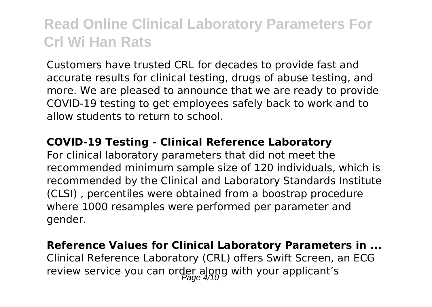Customers have trusted CRL for decades to provide fast and accurate results for clinical testing, drugs of abuse testing, and more. We are pleased to announce that we are ready to provide COVID-19 testing to get employees safely back to work and to allow students to return to school.

#### **COVID-19 Testing - Clinical Reference Laboratory**

For clinical laboratory parameters that did not meet the recommended minimum sample size of 120 individuals, which is recommended by the Clinical and Laboratory Standards Institute (CLSI) , percentiles were obtained from a boostrap procedure where 1000 resamples were performed per parameter and gender.

#### **Reference Values for Clinical Laboratory Parameters in ...** Clinical Reference Laboratory (CRL) offers Swift Screen, an ECG

review service you can order along with your applicant's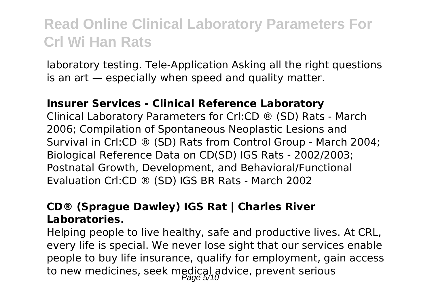laboratory testing. Tele-Application Asking all the right questions is an art — especially when speed and quality matter.

#### **Insurer Services - Clinical Reference Laboratory**

Clinical Laboratory Parameters for Crl:CD ® (SD) Rats - March 2006; Compilation of Spontaneous Neoplastic Lesions and Survival in Crl:CD ® (SD) Rats from Control Group - March 2004; Biological Reference Data on CD(SD) IGS Rats - 2002/2003; Postnatal Growth, Development, and Behavioral/Functional Evaluation Crl:CD ® (SD) IGS BR Rats - March 2002

#### **CD® (Sprague Dawley) IGS Rat | Charles River Laboratories.**

Helping people to live healthy, safe and productive lives. At CRL, every life is special. We never lose sight that our services enable people to buy life insurance, qualify for employment, gain access to new medicines, seek medical advice, prevent serious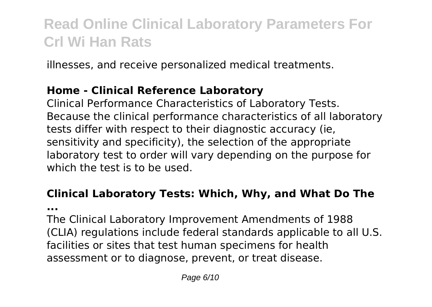illnesses, and receive personalized medical treatments.

#### **Home - Clinical Reference Laboratory**

Clinical Performance Characteristics of Laboratory Tests. Because the clinical performance characteristics of all laboratory tests differ with respect to their diagnostic accuracy (ie, sensitivity and specificity), the selection of the appropriate laboratory test to order will vary depending on the purpose for which the test is to be used.

### **Clinical Laboratory Tests: Which, Why, and What Do The**

**...**

The Clinical Laboratory Improvement Amendments of 1988 (CLIA) regulations include federal standards applicable to all U.S. facilities or sites that test human specimens for health assessment or to diagnose, prevent, or treat disease.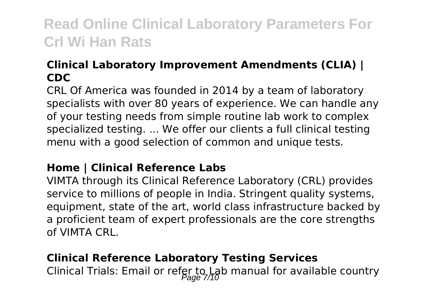#### **Clinical Laboratory Improvement Amendments (CLIA) | CDC**

CRL Of America was founded in 2014 by a team of laboratory specialists with over 80 years of experience. We can handle any of your testing needs from simple routine lab work to complex specialized testing. ... We offer our clients a full clinical testing menu with a good selection of common and unique tests.

#### **Home | Clinical Reference Labs**

VIMTA through its Clinical Reference Laboratory (CRL) provides service to millions of people in India. Stringent quality systems, equipment, state of the art, world class infrastructure backed by a proficient team of expert professionals are the core strengths of VIMTA CRL.

#### **Clinical Reference Laboratory Testing Services**

Clinical Trials: Email or refer to Lab manual for available country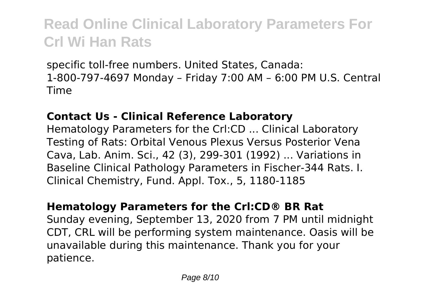specific toll-free numbers. United States, Canada: 1-800-797-4697 Monday – Friday 7:00 AM – 6:00 PM U.S. Central Time

#### **Contact Us - Clinical Reference Laboratory**

Hematology Parameters for the Crl:CD ... Clinical Laboratory Testing of Rats: Orbital Venous Plexus Versus Posterior Vena Cava, Lab. Anim. Sci., 42 (3), 299-301 (1992) ... Variations in Baseline Clinical Pathology Parameters in Fischer-344 Rats. I. Clinical Chemistry, Fund. Appl. Tox., 5, 1180-1185

#### **Hematology Parameters for the Crl:CD® BR Rat**

Sunday evening, September 13, 2020 from 7 PM until midnight CDT, CRL will be performing system maintenance. Oasis will be unavailable during this maintenance. Thank you for your patience.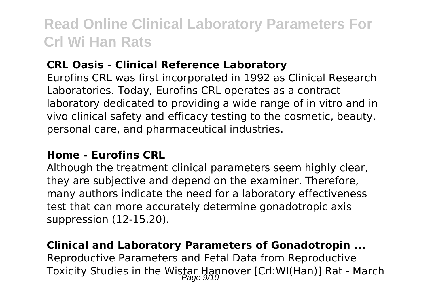#### **CRL Oasis - Clinical Reference Laboratory**

Eurofins CRL was first incorporated in 1992 as Clinical Research Laboratories. Today, Eurofins CRL operates as a contract laboratory dedicated to providing a wide range of in vitro and in vivo clinical safety and efficacy testing to the cosmetic, beauty, personal care, and pharmaceutical industries.

#### **Home - Eurofins CRL**

Although the treatment clinical parameters seem highly clear, they are subjective and depend on the examiner. Therefore, many authors indicate the need for a laboratory effectiveness test that can more accurately determine gonadotropic axis suppression (12-15,20).

#### **Clinical and Laboratory Parameters of Gonadotropin ...**

Reproductive Parameters and Fetal Data from Reproductive Toxicity Studies in the Wistar Hannover [Crl:WI(Han)] Rat - March